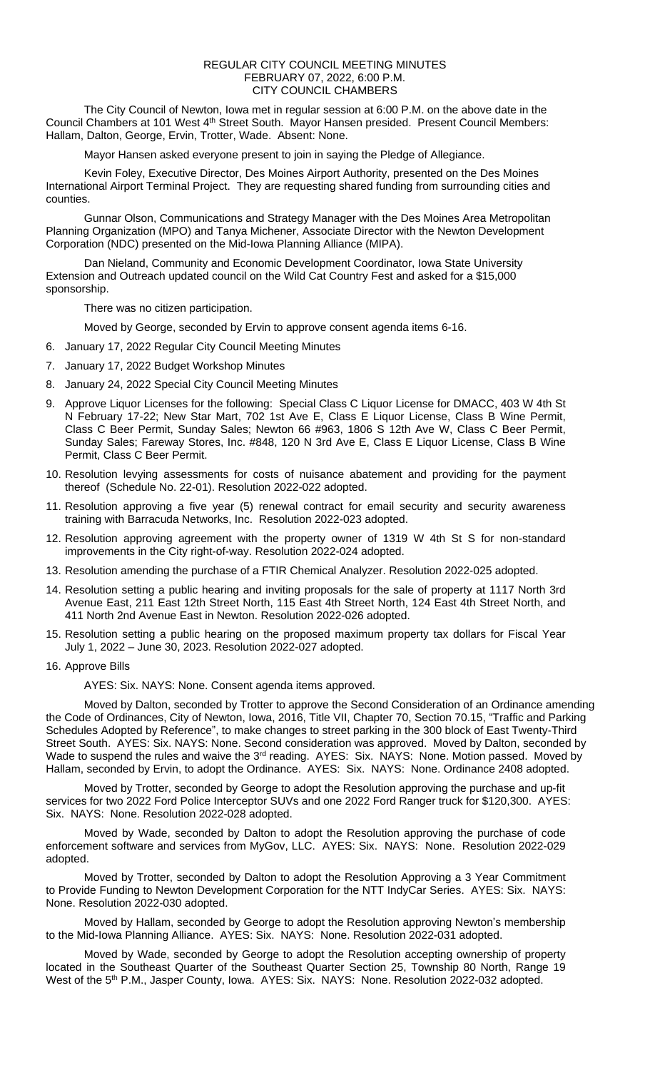## REGULAR CITY COUNCIL MEETING MINUTES FEBRUARY 07, 2022, 6:00 P.M. CITY COUNCIL CHAMBERS

The City Council of Newton, Iowa met in regular session at 6:00 P.M. on the above date in the Council Chambers at 101 West 4<sup>th</sup> Street South. Mayor Hansen presided. Present Council Members: Hallam, Dalton, George, Ervin, Trotter, Wade. Absent: None.

Mayor Hansen asked everyone present to join in saying the Pledge of Allegiance.

Kevin Foley, Executive Director, Des Moines Airport Authority, presented on the Des Moines International Airport Terminal Project. They are requesting shared funding from surrounding cities and counties.

Gunnar Olson, Communications and Strategy Manager with the Des Moines Area Metropolitan Planning Organization (MPO) and Tanya Michener, Associate Director with the Newton Development Corporation (NDC) presented on the Mid-Iowa Planning Alliance (MIPA).

Dan Nieland, Community and Economic Development Coordinator, Iowa State University Extension and Outreach updated council on the Wild Cat Country Fest and asked for a \$15,000 sponsorship.

There was no citizen participation.

Moved by George, seconded by Ervin to approve consent agenda items 6-16.

- 6. January 17, 2022 Regular City Council Meeting Minutes
- 7. January 17, 2022 Budget Workshop Minutes
- 8. January 24, 2022 Special City Council Meeting Minutes
- 9. Approve Liquor Licenses for the following: Special Class C Liquor License for DMACC, 403 W 4th St N February 17-22; New Star Mart, 702 1st Ave E, Class E Liquor License, Class B Wine Permit, Class C Beer Permit, Sunday Sales; Newton 66 #963, 1806 S 12th Ave W, Class C Beer Permit, Sunday Sales; Fareway Stores, Inc. #848, 120 N 3rd Ave E, Class E Liquor License, Class B Wine Permit, Class C Beer Permit.
- 10. Resolution levying assessments for costs of nuisance abatement and providing for the payment thereof (Schedule No. 22-01). Resolution 2022-022 adopted.
- 11. Resolution approving a five year (5) renewal contract for email security and security awareness training with Barracuda Networks, Inc. Resolution 2022-023 adopted.
- 12. Resolution approving agreement with the property owner of 1319 W 4th St S for non-standard improvements in the City right-of-way. Resolution 2022-024 adopted.
- 13. Resolution amending the purchase of a FTIR Chemical Analyzer. Resolution 2022-025 adopted.
- 14. Resolution setting a public hearing and inviting proposals for the sale of property at 1117 North 3rd Avenue East, 211 East 12th Street North, 115 East 4th Street North, 124 East 4th Street North, and 411 North 2nd Avenue East in Newton. Resolution 2022-026 adopted.
- 15. Resolution setting a public hearing on the proposed maximum property tax dollars for Fiscal Year July 1, 2022 – June 30, 2023. Resolution 2022-027 adopted.
- 16. Approve Bills

AYES: Six. NAYS: None. Consent agenda items approved.

Moved by Dalton, seconded by Trotter to approve the Second Consideration of an Ordinance amending the Code of Ordinances, City of Newton, Iowa, 2016, Title VII, Chapter 70, Section 70.15, "Traffic and Parking Schedules Adopted by Reference", to make changes to street parking in the 300 block of East Twenty-Third Street South. AYES: Six. NAYS: None. Second consideration was approved. Moved by Dalton, seconded by Wade to suspend the rules and waive the 3<sup>rd</sup> reading. AYES: Six. NAYS: None. Motion passed. Moved by Hallam, seconded by Ervin, to adopt the Ordinance. AYES: Six. NAYS: None. Ordinance 2408 adopted.

Moved by Trotter, seconded by George to adopt the Resolution approving the purchase and up-fit services for two 2022 Ford Police Interceptor SUVs and one 2022 Ford Ranger truck for \$120,300. AYES: Six. NAYS: None. Resolution 2022-028 adopted.

Moved by Wade, seconded by Dalton to adopt the Resolution approving the purchase of code enforcement software and services from MyGov, LLC. AYES: Six. NAYS: None. Resolution 2022-029 adopted.

Moved by Trotter, seconded by Dalton to adopt the Resolution Approving a 3 Year Commitment to Provide Funding to Newton Development Corporation for the NTT IndyCar Series. AYES: Six. NAYS: None. Resolution 2022-030 adopted.

Moved by Hallam, seconded by George to adopt the Resolution approving Newton's membership to the Mid-Iowa Planning Alliance. AYES: Six. NAYS: None. Resolution 2022-031 adopted.

Moved by Wade, seconded by George to adopt the Resolution accepting ownership of property located in the Southeast Quarter of the Southeast Quarter Section 25, Township 80 North, Range 19 West of the 5<sup>th</sup> P.M., Jasper County, Iowa. AYES: Six. NAYS: None. Resolution 2022-032 adopted.